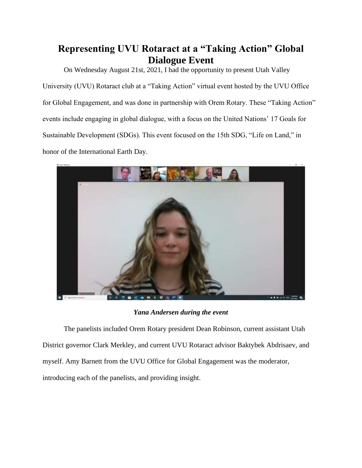## **Representing UVU Rotaract at a "Taking Action" Global Dialogue Event**

On Wednesday August 21st, 2021, I had the opportunity to present Utah Valley University (UVU) Rotaract club at a "Taking Action" virtual event hosted by the UVU Office for Global Engagement, and was done in partnership with Orem Rotary. These "Taking Action" events include engaging in global dialogue, with a focus on the United Nations' 17 Goals for Sustainable Development (SDGs). This event focused on the 15th SDG, "Life on Land," in honor of the International Earth Day.



*Yana Andersen during the event*

The panelists included Orem Rotary president Dean Robinson, current assistant Utah District governor Clark Merkley, and current UVU Rotaract advisor Baktybek Abdrisaev, and myself. Amy Barnett from the UVU Office for Global Engagement was the moderator, introducing each of the panelists, and providing insight.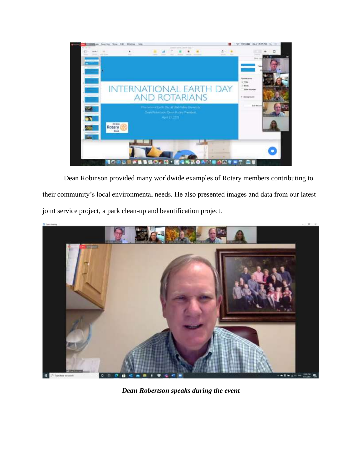

Dean Robinson provided many worldwide examples of Rotary members contributing to their community's local environmental needs. He also presented images and data from our latest joint service project, a park clean-up and beautification project.



*Dean Robertson speaks during the event*